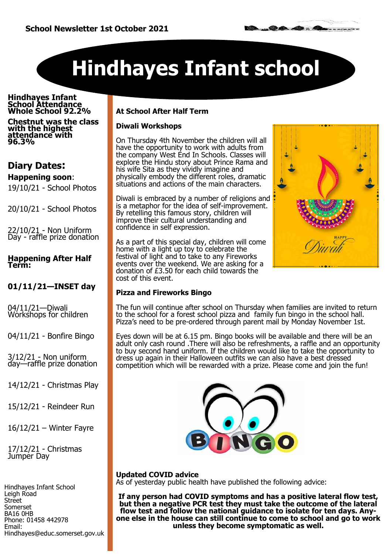# **Hindhayes Infant school**

#### **Hindhayes Infant School Attendance Whole School 92.2%**

**Chestnut was the class with the highest attendance with 96.3%** 

# **Diary Dates:**

## **Happening soon**:

19/10/21 - School Photos

20/10/21 - School Photos

22/10/21 - Non Uniform Day - raffle prize donation

#### **Happening After Half Term:**

### **01/11/21—INSET day**

04/11/21—Diwali Workshops for children

04/11/21 - Bonfire Bingo

 $3/12/21$  - Non uniform day—raffle prize donation

14/12/21 - Christmas Play

15/12/21 - Reindeer Run

16/12/21 – Winter Fayre

17/12/21 - Christmas Jumper Day

Hindhayes Infant School Leigh Road **Street** Somerset BA16 0HB Phone: 01458 442978 Email: Hindhayes@educ.somerset.gov.uk

#### **At School After Half Term**

#### **Diwali Workshops**

On Thursday 4th November the children will all have the opportunity to work with adults from the company West End In Schools. Classes will explore the Hindu story about Prince Rama and his wife Sita as they vividly imagine and physically embody the different roles, dramatic situations and actions of the main characters.

Diwali is embraced by a number of religions and is a metaphor for the idea of self-improvement. By retelling this famous story, children will improve their cultural understanding and confidence in self expression.

As a part of this special day, children will come home with a light up toy to celebrate the festival of light and to take to any Fireworks events over the weekend. We are asking for a donation of £3.50 for each child towards the cost of this event.



#### **Pizza and Fireworks Bingo**

The fun will continue after school on Thursday when families are invited to return to the school for a forest school pizza and family fun bingo in the school hall. Pizza's need to be pre-ordered through parent mail by Monday November 1st.

Eyes down will be at 6.15 pm. Bingo books will be available and there will be an adult only cash round .There will also be refreshments, a raffle and an opportunity to buy second hand uniform. If the children would like to take the opportunity to dress up again in their Halloween outfits we can also have a best dressed competition which will be rewarded with a prize. Please come and join the fun!



**Updated COVID advice** As of yesterday public health have published the following advice:

**If any person had COVID symptoms and has a positive lateral flow test, but then a negative PCR test they must take the outcome of the lateral flow test and follow the national guidance to isolate for ten days. Anyone else in the house can still continue to come to school and go to work unless they become symptomatic as well.**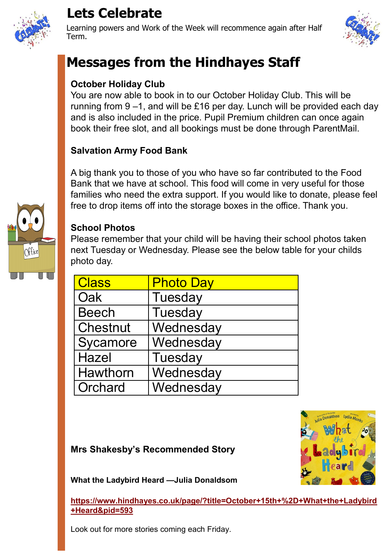

# **Lets Celebrate**

Learning powers and Work of the Week will recommence again after Half Term.



# **Messages from the Hindhayes Staff**

# **October Holiday Club**

You are now able to book in to our October Holiday Club. This will be running from 9 –1, and will be £16 per day. Lunch will be provided each day and is also included in the price. Pupil Premium children can once again book their free slot, and all bookings must be done through ParentMail.

# **Salvation Army Food Bank**

A big thank you to those of you who have so far contributed to the Food Bank that we have at school. This food will come in very useful for those families who need the extra support. If you would like to donate, please feel free to drop items off into the storage boxes in the office. Thank you.



## **School Photos**

Please remember that your child will be having their school photos taken next Tuesday or Wednesday. Please see the below table for your childs photo day.

| <b>Class</b>    | <b>Photo Day</b> |
|-----------------|------------------|
| Oak             | Tuesday          |
| Beech           | Tuesday          |
| <b>Chestnut</b> | Wednesday        |
| Sycamore        | Wednesday        |
| Hazel           | Tuesday          |
| Hawthorn        | Wednesday        |
| Orchard         | Wednesday        |

# **Mrs Shakesby's Recommended Story**



**What the Ladybird Heard —Julia Donaldsom** 

**[https://www.hindhayes.co.uk/page/?title=October+15th+%2D+What+the+Ladybird](https://www.hindhayes.co.uk/page/?title=October+15th+%2D+What+the+Ladybird+Heard&pid=593) [+Heard&pid=593](https://www.hindhayes.co.uk/page/?title=October+15th+%2D+What+the+Ladybird+Heard&pid=593)**

Look out for more stories coming each Friday.